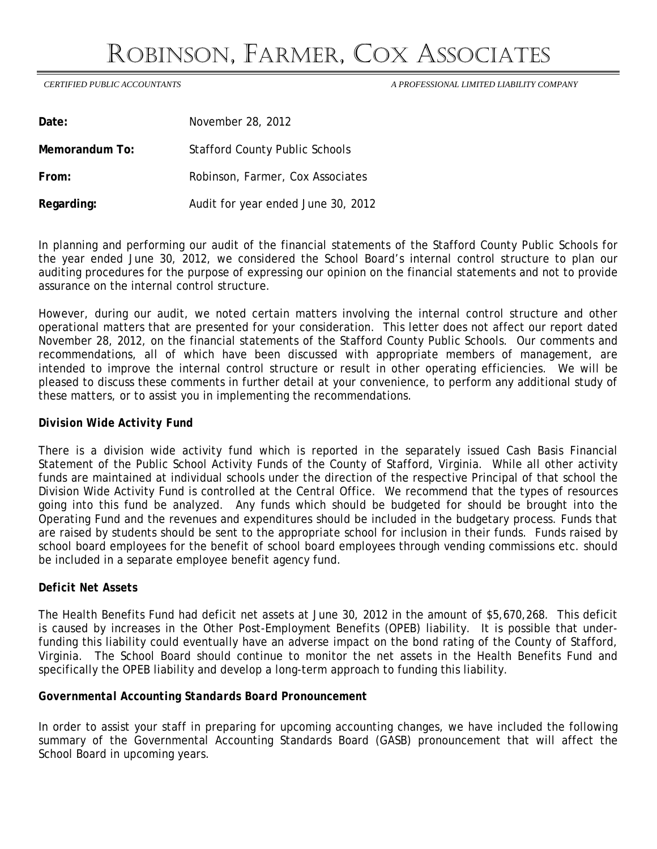## ROBINSON, FARMER, COX ASSOCIATES

 *CERTIFIED PUBLIC ACCOUNTANTS A PROFESSIONAL LIMITED LIABILITY COMPANY* 

| Date:          | November 28, 2012                     |
|----------------|---------------------------------------|
| Memorandum To: | <b>Stafford County Public Schools</b> |
| From:          | Robinson, Farmer, Cox Associates      |
| Regarding:     | Audit for year ended June 30, 2012    |

In planning and performing our audit of the financial statements of the Stafford County Public Schools for the year ended June 30, 2012, we considered the School Board's internal control structure to plan our auditing procedures for the purpose of expressing our opinion on the financial statements and not to provide assurance on the internal control structure.

However, during our audit, we noted certain matters involving the internal control structure and other operational matters that are presented for your consideration. This letter does not affect our report dated November 28, 2012, on the financial statements of the Stafford County Public Schools. Our comments and recommendations, all of which have been discussed with appropriate members of management, are intended to improve the internal control structure or result in other operating efficiencies. We will be pleased to discuss these comments in further detail at your convenience, to perform any additional study of these matters, or to assist you in implementing the recommendations.

## *Division Wide Activity Fund*

There is a division wide activity fund which is reported in the separately issued Cash Basis Financial Statement of the Public School Activity Funds of the County of Stafford, Virginia. While all other activity funds are maintained at individual schools under the direction of the respective Principal of that school the Division Wide Activity Fund is controlled at the Central Office. We recommend that the types of resources going into this fund be analyzed. Any funds which should be budgeted for should be brought into the Operating Fund and the revenues and expenditures should be included in the budgetary process. Funds that are raised by students should be sent to the appropriate school for inclusion in their funds. Funds raised by school board employees for the benefit of school board employees through vending commissions etc. should be included in a separate employee benefit agency fund.

## *Deficit Net Assets*

The Health Benefits Fund had deficit net assets at June 30, 2012 in the amount of \$5,670,268. This deficit is caused by increases in the Other Post-Employment Benefits (OPEB) liability. It is possible that underfunding this liability could eventually have an adverse impact on the bond rating of the County of Stafford, Virginia. The School Board should continue to monitor the net assets in the Health Benefits Fund and specifically the OPEB liability and develop a long-term approach to funding this liability.

## *Governmental Accounting Standards Board Pronouncement*

In order to assist your staff in preparing for upcoming accounting changes, we have included the following summary of the Governmental Accounting Standards Board (GASB) pronouncement that will affect the School Board in upcoming years.